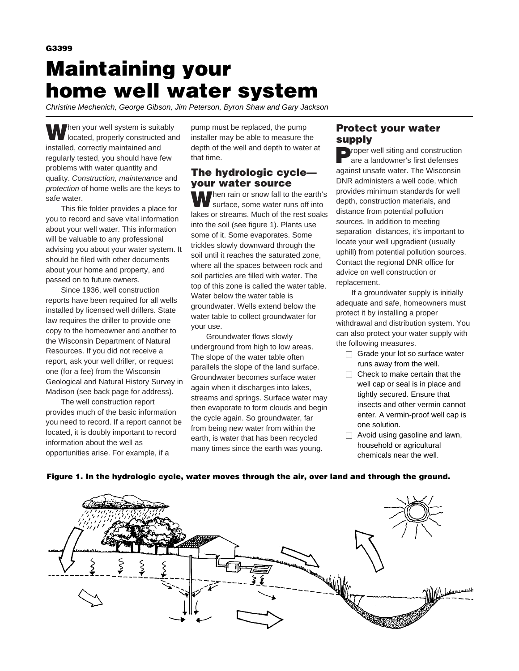**G3399 Maintaining your home well water system**

Christine Mechenich, George Gibson, Jim Peterson, Byron Shaw and Gary Jackson

**When your well system is suitably** located, properly constructed and installed, correctly maintained and regularly tested, you should have few problems with water quantity and quality. Construction, maintenance and protection of home wells are the keys to safe water.

This file folder provides a place for you to record and save vital information about your well water. This information will be valuable to any professional advising you about your water system. It should be filed with other documents about your home and property, and passed on to future owners.

Since 1936, well construction reports have been required for all wells installed by licensed well drillers. State law requires the driller to provide one copy to the homeowner and another to the Wisconsin Department of Natural Resources. If you did not receive a report, ask your well driller, or request one (for a fee) from the Wisconsin Geological and Natural History Survey in Madison (see back page for address).

The well construction report provides much of the basic information you need to record. If a report cannot be located, it is doubly important to record information about the well as opportunities arise. For example, if a

pump must be replaced, the pump installer may be able to measure the depth of the well and depth to water at that time.

## **The hydrologic cycle your water source**

**W**hen rain or snow fall to the earth's surface, some water runs off into lakes or streams. Much of the rest soaks into the soil (see figure 1). Plants use some of it. Some evaporates. Some trickles slowly downward through the soil until it reaches the saturated zone, where all the spaces between rock and soil particles are filled with water. The top of this zone is called the water table. Water below the water table is groundwater. Wells extend below the water table to collect groundwater for your use.

Groundwater flows slowly underground from high to low areas. The slope of the water table often parallels the slope of the land surface. Groundwater becomes surface water again when it discharges into lakes, streams and springs. Surface water may then evaporate to form clouds and begin the cycle again. So groundwater, far from being new water from within the earth, is water that has been recycled many times since the earth was young.

### **Protect your water supply**

**Proper well siting and construction** are a landowner's first defenses against unsafe water. The Wisconsin DNR administers a well code, which provides minimum standards for well depth, construction materials, and distance from potential pollution sources. In addition to meeting separation distances, it's important to locate your well upgradient (usually uphill) from potential pollution sources. Contact the regional DNR office for advice on well construction or replacement.

If a groundwater supply is initially adequate and safe, homeowners must protect it by installing a proper withdrawal and distribution system. You can also protect your water supply with the following measures.

- $\Box$  Grade your lot so surface water runs away from the well.
- $\Box$  Check to make certain that the well cap or seal is in place and tightly secured. Ensure that insects and other vermin cannot enter. A vermin-proof well cap is one solution.
- $\Box$  Avoid using gasoline and lawn, household or agricultural chemicals near the well.



### **Figure 1. In the hydrologic cycle, water moves through the air, over land and through the ground.**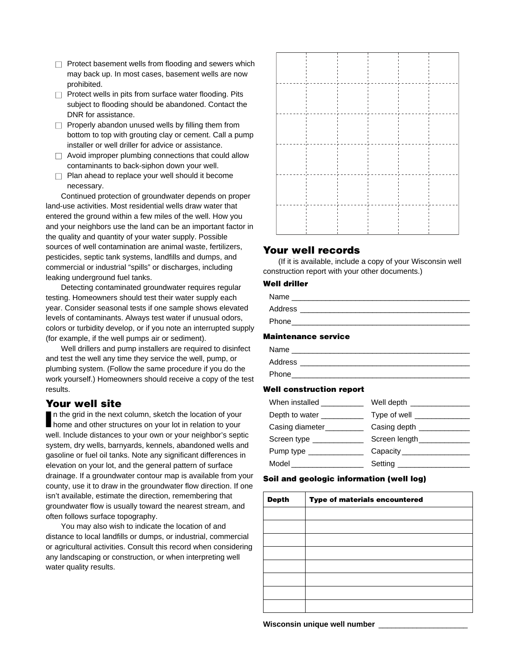- $\Box$  Protect basement wells from flooding and sewers which may back up. In most cases, basement wells are now prohibited.
- $\Box$  Protect wells in pits from surface water flooding. Pits subject to flooding should be abandoned. Contact the DNR for assistance.
- $\Box$  Properly abandon unused wells by filling them from bottom to top with grouting clay or cement. Call a pump installer or well driller for advice or assistance.
- $\Box$  Avoid improper plumbing connections that could allow contaminants to back-siphon down your well.
- $\Box$  Plan ahead to replace your well should it become necessary.

Continued protection of groundwater depends on proper land-use activities. Most residential wells draw water that entered the ground within a few miles of the well. How you and your neighbors use the land can be an important factor in the quality and quantity of your water supply. Possible sources of well contamination are animal waste, fertilizers, pesticides, septic tank systems, landfills and dumps, and commercial or industrial "spills" or discharges, including leaking underground fuel tanks.

Detecting contaminated groundwater requires regular testing. Homeowners should test their water supply each year. Consider seasonal tests if one sample shows elevated levels of contaminants. Always test water if unusual odors, colors or turbidity develop, or if you note an interrupted supply (for example, if the well pumps air or sediment).

Well drillers and pump installers are required to disinfect and test the well any time they service the well, pump, or plumbing system. (Follow the same procedure if you do the work yourself.) Homeowners should receive a copy of the test results.

## **Your well site**

In the grid in the next column, sketch the location of your home and other structures on your lot in relation to your n the grid in the next column, sketch the location of your well. Include distances to your own or your neighbor's septic system, dry wells, barnyards, kennels, abandoned wells and gasoline or fuel oil tanks. Note any significant differences in elevation on your lot, and the general pattern of surface drainage. If a groundwater contour map is available from your county, use it to draw in the groundwater flow direction. If one isn't available, estimate the direction, remembering that groundwater flow is usually toward the nearest stream, and often follows surface topography.

You may also wish to indicate the location of and distance to local landfills or dumps, or industrial, commercial or agricultural activities. Consult this record when considering any landscaping or construction, or when interpreting well water quality results.



## **Your well records**

(If it is available, include a copy of your Wisconsin well construction report with your other documents.)

### **Well driller**

| Name         |  |
|--------------|--|
| Address      |  |
| <b>Phone</b> |  |

#### **Maintenance service**

| Name    |
|---------|
| Address |
| Phone   |

### **Well construction report**

| Well depth _______________   |
|------------------------------|
| Type of well ___________     |
| Casing depth                 |
| Screen length_______________ |
| Capacity _________________   |
| Setting ________________     |
|                              |

### **Soil and geologic information (well log)**

| <b>Depth</b> | Type of materials encountered |  |  |  |  |  |  |
|--------------|-------------------------------|--|--|--|--|--|--|
|              |                               |  |  |  |  |  |  |
|              |                               |  |  |  |  |  |  |
|              |                               |  |  |  |  |  |  |
|              |                               |  |  |  |  |  |  |
|              |                               |  |  |  |  |  |  |
|              |                               |  |  |  |  |  |  |
|              |                               |  |  |  |  |  |  |
|              |                               |  |  |  |  |  |  |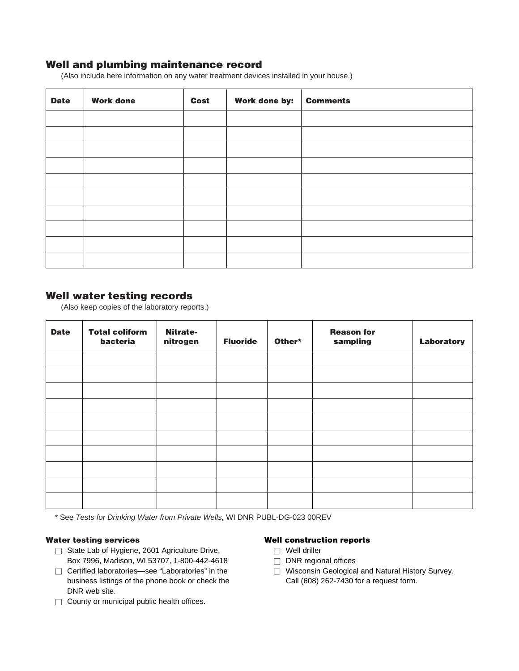# **Well and plumbing maintenance record**

(Also include here information on any water treatment devices installed in your house.)

| <b>Date</b> | <b>Work done</b> | Cost | Work done by: | <b>Comments</b> |
|-------------|------------------|------|---------------|-----------------|
|             |                  |      |               |                 |
|             |                  |      |               |                 |
|             |                  |      |               |                 |
|             |                  |      |               |                 |
|             |                  |      |               |                 |
|             |                  |      |               |                 |
|             |                  |      |               |                 |
|             |                  |      |               |                 |
|             |                  |      |               |                 |
|             |                  |      |               |                 |

## **Well water testing records**

(Also keep copies of the laboratory reports.)

| <b>Date</b> | <b>Total coliform</b><br>bacteria | <b>Nitrate-</b><br>nitrogen | <b>Fluoride</b> | Other* | <b>Reason for</b><br>sampling | Laboratory |
|-------------|-----------------------------------|-----------------------------|-----------------|--------|-------------------------------|------------|
|             |                                   |                             |                 |        |                               |            |
|             |                                   |                             |                 |        |                               |            |
|             |                                   |                             |                 |        |                               |            |
|             |                                   |                             |                 |        |                               |            |
|             |                                   |                             |                 |        |                               |            |
|             |                                   |                             |                 |        |                               |            |
|             |                                   |                             |                 |        |                               |            |
|             |                                   |                             |                 |        |                               |            |
|             |                                   |                             |                 |        |                               |            |
|             |                                   |                             |                 |        |                               |            |

\* See Tests for Drinking Water from Private Wells, WI DNR PUBL-DG-023 00REV

### **Water testing services**

- □ State Lab of Hygiene, 2601 Agriculture Drive, Box 7996, Madison, WI 53707, 1-800-442-4618
- □ Certified laboratories—see "Laboratories" in the business listings of the phone book or check the DNR web site.
- $\Box$  County or municipal public health offices.

### **Well construction reports**

- □ Well driller
- $\Box$  DNR regional offices
- □ Wisconsin Geological and Natural History Survey. Call (608) 262-7430 for a request form.